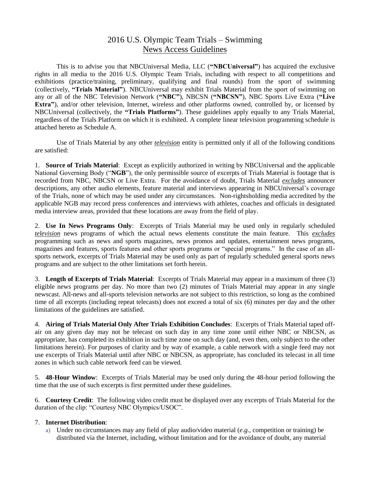## 2016 U.S. Olympic Team Trials – Swimming News Access Guidelines

This is to advise you that NBCUniversal Media, LLC (**"NBCUniversal"**) has acquired the exclusive rights in all media to the 2016 U.S. Olympic Team Trials, including with respect to all competitions and exhibitions (practice/training, preliminary, qualifying and final rounds) from the sport of swimming (collectively, **"Trials Material"**). NBCUniversal may exhibit Trials Material from the sport of swimming on any or all of the NBC Television Network (**"NBC"**), NBCSN (**"NBCSN"**), NBC Sports Live Extra (**"Live Extra"**), and/or other television, Internet, wireless and other platforms owned, controlled by, or licensed by NBCUniversal (collectively, the **"Trials Platforms"**). These guidelines apply equally to any Trials Material, regardless of the Trials Platform on which it is exhibited. A complete linear television programming schedule is attached hereto as Schedule A.

Use of Trials Material by any other *television* entity is permitted only if all of the following conditions are satisfied:

1. **Source of Trials Material**: Except as explicitly authorized in writing by NBCUniversal and the applicable National Governing Body ("**NGB**"), the only permissible source of excerpts of Trials Material is footage that is recorded from NBC, NBCSN or Live Extra. For the avoidance of doubt, Trials Material *excludes* announcer descriptions, any other audio elements, feature material and interviews appearing in NBCUniversal's coverage of the Trials, none of which may be used under any circumstances. Non-rightsholding media accredited by the applicable NGB may record press conferences and interviews with athletes, coaches and officials in designated media interview areas, provided that these locations are away from the field of play.

2. **Use In News Programs Only**: Excerpts of Trials Material may be used only in regularly scheduled *television* news programs of which the actual news elements constitute the main feature. This *excludes* programming such as news and sports magazines, news promos and updates, entertainment news programs, magazines and features, sports features and other sports programs or "special programs." In the case of an allsports network, excerpts of Trials Material may be used only as part of regularly scheduled general sports news programs and are subject to the other limitations set forth herein.

3. **Length of Excerpts of Trials Material**: Excerpts of Trials Material may appear in a maximum of three (3) eligible news programs per day. No more than two (2) minutes of Trials Material may appear in any single newscast. All-news and all-sports television networks are not subject to this restriction, so long as the combined time of all excerpts (including repeat telecasts) does not exceed a total of six (6) minutes per day and the other limitations of the guidelines are satisfied.

4. **Airing of Trials Material Only After Trials Exhibition Concludes**: Excerpts of Trials Material taped offair on any given day may not be telecast on such day in any time zone until either NBC or NBCSN, as appropriate, has completed its exhibition in such time zone on such day (and, even then, only subject to the other limitations herein). For purposes of clarity and by way of example, a cable network with a single feed may not use excerpts of Trials Material until after NBC or NBCSN, as appropriate, has concluded its telecast in all time zones in which such cable network feed can be viewed.

5. **48-Hour Window**: Excerpts of Trials Material may be used only during the 48-hour period following the time that the use of such excerpts is first permitted under these guidelines.

6. **Courtesy Credit**: The following video credit must be displayed over any excerpts of Trials Material for the duration of the clip: "Courtesy NBC Olympics/USOC".

## 7. **Internet Distribution**:

a) Under no circumstances may any field of play audio/video material (*e.g.*, competition or training) be distributed via the Internet, including, without limitation and for the avoidance of doubt, any material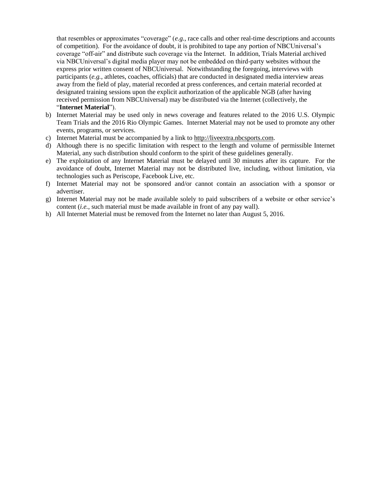that resembles or approximates "coverage" (*e.g.*, race calls and other real-time descriptions and accounts of competition). For the avoidance of doubt, it is prohibited to tape any portion of NBCUniversal's coverage "off-air" and distribute such coverage via the Internet. In addition, Trials Material archived via NBCUniversal's digital media player may not be embedded on third-party websites without the express prior written consent of NBCUniversal. Notwithstanding the foregoing, interviews with participants (*e.g.*, athletes, coaches, officials) that are conducted in designated media interview areas away from the field of play, material recorded at press conferences, and certain material recorded at designated training sessions upon the explicit authorization of the applicable NGB (after having received permission from NBCUniversal) may be distributed via the Internet (collectively, the "**Internet Material**").

- b) Internet Material may be used only in news coverage and features related to the 2016 U.S. Olympic Team Trials and the 2016 Rio Olympic Games. Internet Material may not be used to promote any other events, programs, or services.
- c) Internet Material must be accompanied by a link to [http://liveextra.nbcsports.com.](http://liveextra.nbcsports.com/)
- d) Although there is no specific limitation with respect to the length and volume of permissible Internet Material, any such distribution should conform to the spirit of these guidelines generally.
- e) The exploitation of any Internet Material must be delayed until 30 minutes after its capture. For the avoidance of doubt, Internet Material may not be distributed live, including, without limitation, via technologies such as Periscope, Facebook Live, etc.
- f) Internet Material may not be sponsored and/or cannot contain an association with a sponsor or advertiser.
- g) Internet Material may not be made available solely to paid subscribers of a website or other service's content (*i.e.*, such material must be made available in front of any pay wall).
- h) All Internet Material must be removed from the Internet no later than August 5, 2016.